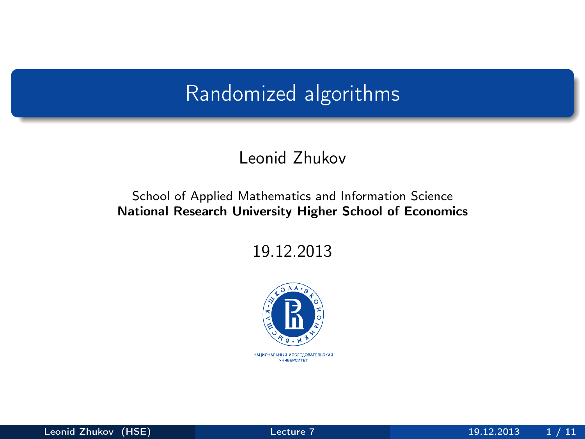## <span id="page-0-0"></span>Randomized algorithms

#### Leonid Zhukov

#### School of Applied Mathematics and Information Science National Research University Higher School of Economics

19.12.2013

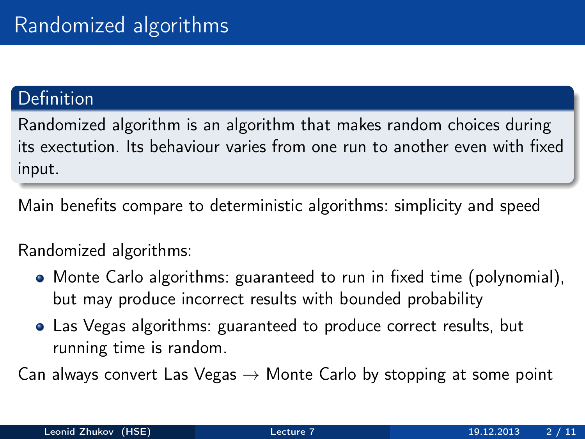### **Definition**

Randomized algorithm is an algorithm that makes random choices during its exectution. Its behaviour varies from one run to another even with fixed input.

Main benefits compare to deterministic algorithms: simplicity and speed

#### Randomized algorithms:

- Monte Carlo algorithms: guaranteed to run in fixed time (polynomial), but may produce incorrect results with bounded probability
- Las Vegas algorithms: guaranteed to produce correct results, but running time is random.

Can always convert Las Vegas  $\rightarrow$  Monte Carlo by stopping at some point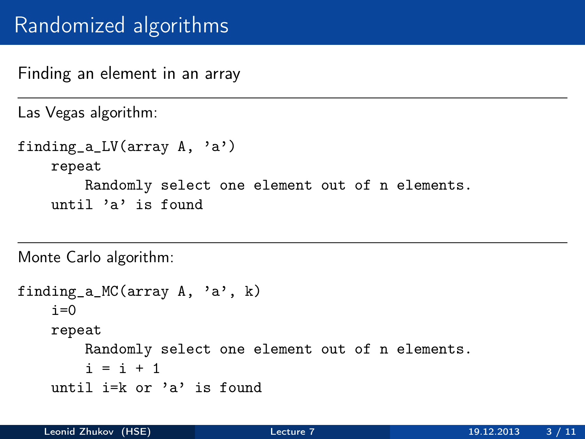## Randomized algorithms

Finding an element in an array

Las Vegas algorithm:

```
finding_a_LV(array A, 'a')
repeat
    Randomly select one element out of n elements.
until 'a' is found
```
Monte Carlo algorithm:

```
finding_a_MC(array A, 'a', k)
i=0repeat
    Randomly select one element out of n elements.
    i = i + 1until i=k or 'a' is found
```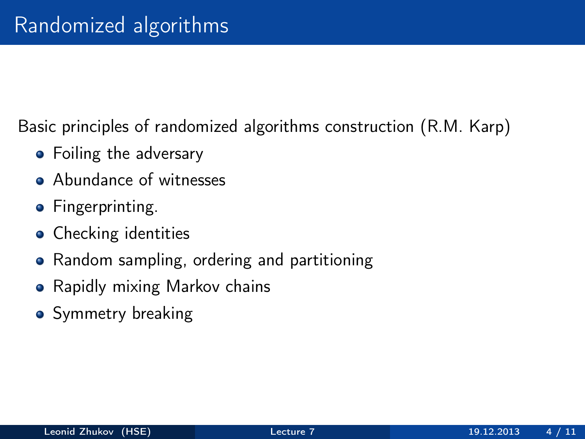Basic principles of randomized algorithms construction (R.M. Karp)

- Foiling the adversary
- **Abundance of witnesses**
- **•** Fingerprinting.
- Checking identities
- Random sampling, ordering and partitioning
- Rapidly mixing Markov chains
- Symmetry breaking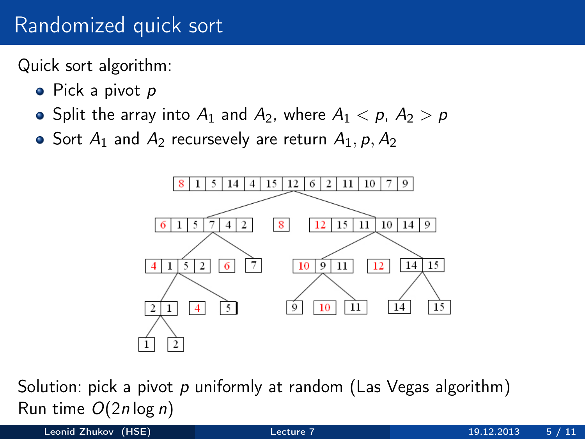## Randomized quick sort

Quick sort algorithm:

- Pick a pivot p
- Split the array into  $A_1$  and  $A_2$ , where  $A_1 < p$ ,  $A_2 > p$
- Sort  $A_1$  and  $A_2$  recursevely are return  $A_1$ , p,  $A_2$



Solution: pick a pivot  $p$  uniformly at random (Las Vegas algorithm) Run time  $O(2n \log n)$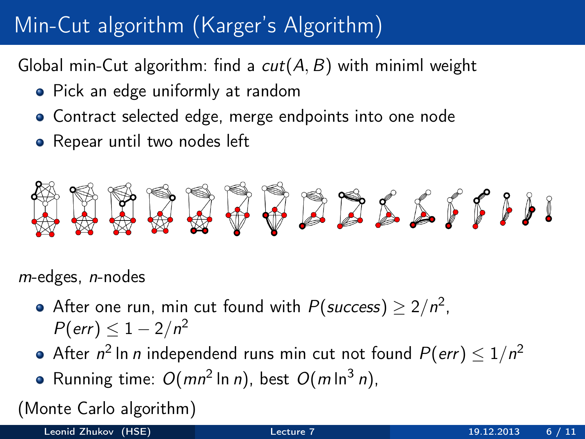# Min-Cut algorithm (Karger's Algorithm)

Global min-Cut algorithm: find a  $cut(A, B)$  with miniml weight

- Pick an edge uniformly at random
- Contract selected edge, merge endpoints into one node
- Repear until two nodes left



m-edges, n-nodes

- After one run, min cut found with  $P({\textit{success}}) \geq 2/n^2$ ,  $P(\textit{err}) \leq 1 - 2/n^2$
- After  $n^2$  In  $n$  independend runs min cut not found  $P(\textit{err}) \leq 1/n^2$
- Running time:  $O(mn^2 \ln n)$ , best  $O(m \ln^3 n)$ ,

(Monte Carlo algorithm)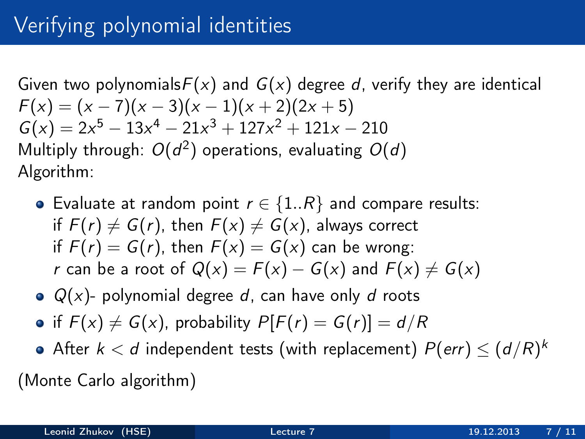Given two polynomials  $F(x)$  and  $G(x)$  degree d, verify they are identical  $F(x) = (x - 7)(x - 3)(x - 1)(x + 2)(2x + 5)$  $G(x) = 2x^5 - 13x^4 - 21x^3 + 127x^2 + 121x - 210$ Multiply through:  $O(d^2)$  operations, evaluating  $O(d)$ Algorithm:

- Evaluate at random point  $r \in \{1..R\}$  and compare results: if  $F(r) \neq G(r)$ , then  $F(x) \neq G(x)$ , always correct if  $F(r) = G(r)$ , then  $F(x) = G(x)$  can be wrong: r can be a root of  $Q(x) = F(x) - G(x)$  and  $F(x) \neq G(x)$
- $\bullet$   $Q(x)$  polynomial degree d, can have only d roots
- if  $F(x) \neq G(x)$ , probability  $P[F(r) = G(r)] = d/R$
- After  $k < d$  independent tests (with replacement)  $P(\textit{err}) \leq (d/R)^k$ (Monte Carlo algorithm)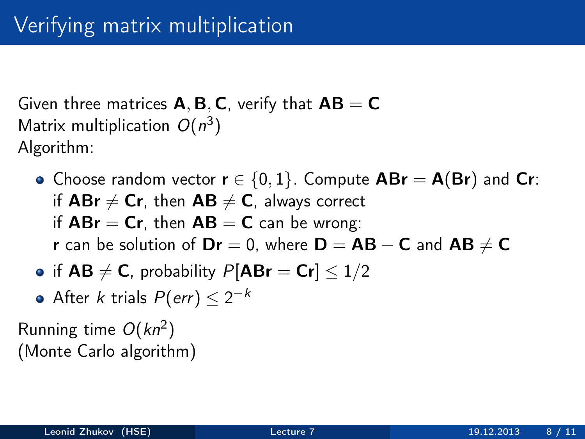Given three matrices  $A, B, C$ , verify that  $AB = C$ Matrix multiplication  $O(n^3)$ Algorithm:

- Choose random vector  $r \in \{0,1\}$ . Compute  $ABr = A(Br)$  and Cr: if  $ABr \neq Cr$ , then  $AB \neq C$ , always correct if  $ABr = Cr$ , then  $AB = C$  can be wrong: r can be solution of  $Dr = 0$ , where  $D = AB - C$  and  $AB \neq C$
- if  $AB \neq C$ , probability  $P[ABr = Cr] \leq 1/2$
- After  $k$  trials  $P(\textit{err}) \leq 2^{-k}$

Running time  $O(kn^2)$ (Monte Carlo algorithm)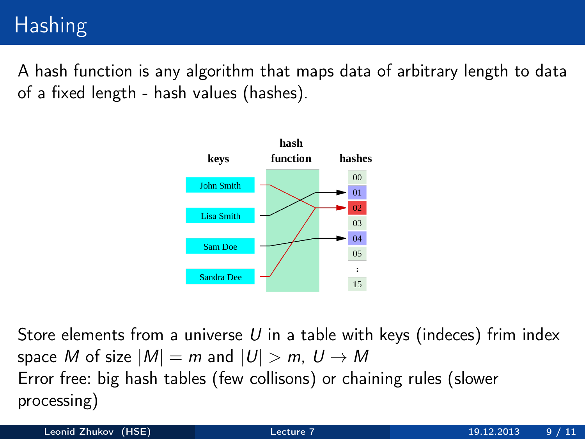# **Hashing**

A hash function is any algorithm that maps data of arbitrary length to data of a fixed length - hash values (hashes).



Store elements from a universe  $U$  in a table with keys (indeces) frim index space M of size  $|M| = m$  and  $|U| > m$ ,  $U \rightarrow M$ Error free: big hash tables (few collisons) or chaining rules (slower processing)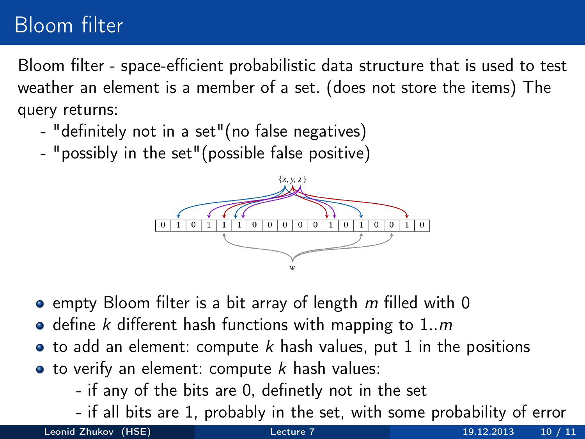# Bloom filter

Bloom filter - space-efficient probabilistic data structure that is used to test weather an element is a member of a set. (does not store the items) The query returns:

- "definitely not in a set"(no false negatives)
- "possibly in the set"(possible false positive)



- $\bullet$  empty Bloom filter is a bit array of length m filled with 0
- $\bullet$  define k different hash functions with mapping to 1..m
- $\bullet$  to add an element: compute k hash values, put 1 in the positions
- $\bullet$  to verify an element: compute  $k$  hash values:
	- if any of the bits are 0, definetly not in the set
	- if all bits are 1, probably in the set, with some probability of error